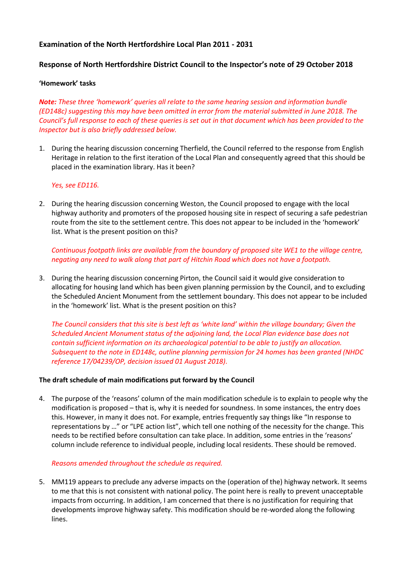# **Examination of the North Hertfordshire Local Plan 2011 - 2031**

## **Response of North Hertfordshire District Council to the Inspector's note of 29 October 2018**

#### **'Homework' tasks**

*Note: These three 'homework' queries all relate to the same hearing session and information bundle (ED148c) suggesting this may have been omitted in error from the material submitted in June 2018. The Council's full response to each of these queries is set out in that document which has been provided to the Inspector but is also briefly addressed below.*

1. During the hearing discussion concerning Therfield, the Council referred to the response from English Heritage in relation to the first iteration of the Local Plan and consequently agreed that this should be placed in the examination library. Has it been?

#### *Yes, see ED116.*

2. During the hearing discussion concerning Weston, the Council proposed to engage with the local highway authority and promoters of the proposed housing site in respect of securing a safe pedestrian route from the site to the settlement centre. This does not appear to be included in the 'homework' list. What is the present position on this?

*Continuous footpath links are available from the boundary of proposed site WE1 to the village centre, negating any need to walk along that part of Hitchin Road which does not have a footpath.*

3. During the hearing discussion concerning Pirton, the Council said it would give consideration to allocating for housing land which has been given planning permission by the Council, and to excluding the Scheduled Ancient Monument from the settlement boundary. This does not appear to be included in the 'homework' list. What is the present position on this?

*The Council considers that this site is best left as 'white land' within the village boundary; Given the Scheduled Ancient Monument status of the adjoining land, the Local Plan evidence base does not contain sufficient information on its archaeological potential to be able to justify an allocation. Subsequent to the note in ED148c, outline planning permission for 24 homes has been granted (NHDC reference 17/04239/OP, decision issued 01 August 2018).*

#### **The draft schedule of main modifications put forward by the Council**

4. The purpose of the 'reasons' column of the main modification schedule is to explain to people why the modification is proposed – that is, why it is needed for soundness. In some instances, the entry does this. However, in many it does not. For example, entries frequently say things like "In response to representations by …" or "LPE action list", which tell one nothing of the necessity for the change. This needs to be rectified before consultation can take place. In addition, some entries in the 'reasons' column include reference to individual people, including local residents. These should be removed.

#### *Reasons amended throughout the schedule as required.*

5. MM119 appears to preclude any adverse impacts on the (operation of the) highway network. It seems to me that this is not consistent with national policy. The point here is really to prevent unacceptable impacts from occurring. In addition, I am concerned that there is no justification for requiring that developments improve highway safety. This modification should be re-worded along the following lines.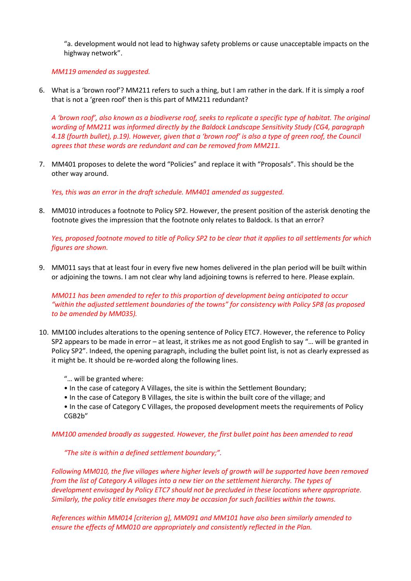"a. development would not lead to highway safety problems or cause unacceptable impacts on the highway network".

*MM119 amended as suggested.*

6. What is a 'brown roof'? MM211 refers to such a thing, but I am rather in the dark. If it is simply a roof that is not a 'green roof' then is this part of MM211 redundant?

*A 'brown roof', also known as a biodiverse roof, seeks to replicate a specific type of habitat. The original wording of MM211 was informed directly by the Baldock Landscape Sensitivity Study (CG4, paragraph 4.18 (fourth bullet), p.19). However, given that a 'brown roof' is also a type of green roof, the Council agrees that these words are redundant and can be removed from MM211.*

7. MM401 proposes to delete the word "Policies" and replace it with "Proposals". This should be the other way around.

*Yes, this was an error in the draft schedule. MM401 amended as suggested.*

8. MM010 introduces a footnote to Policy SP2. However, the present position of the asterisk denoting the footnote gives the impression that the footnote only relates to Baldock. Is that an error?

*Yes, proposed footnote moved to title of Policy SP2 to be clear that it applies to all settlements for which figures are shown.*

9. MM011 says that at least four in every five new homes delivered in the plan period will be built within or adjoining the towns. I am not clear why land adjoining towns is referred to here. Please explain.

*MM011 has been amended to refer to this proportion of development being anticipated to occur "within the adjusted settlement boundaries of the towns" for consistency with Policy SP8 (as proposed to be amended by MM035).*

- 10. MM100 includes alterations to the opening sentence of Policy ETC7. However, the reference to Policy SP2 appears to be made in error – at least, it strikes me as not good English to say "… will be granted in Policy SP2". Indeed, the opening paragraph, including the bullet point list, is not as clearly expressed as it might be. It should be re-worded along the following lines.
	- "… will be granted where:
	- In the case of category A Villages, the site is within the Settlement Boundary;
	- In the case of Category B Villages, the site is within the built core of the village; and
	- In the case of Category C Villages, the proposed development meets the requirements of Policy CGB2b"

*MM100 amended broadly as suggested. However, the first bullet point has been amended to read* 

*"The site is within a defined settlement boundary;".* 

*Following MM010, the five villages where higher levels of growth will be supported have been removed from the list of Category A villages into a new tier on the settlement hierarchy. The types of development envisaged by Policy ETC7 should not be precluded in these locations where appropriate. Similarly, the policy title envisages there may be occasion for such facilities within the towns.*

*References within MM014 [criterion g], MM091 and MM101 have also been similarly amended to ensure the effects of MM010 are appropriately and consistently reflected in the Plan.*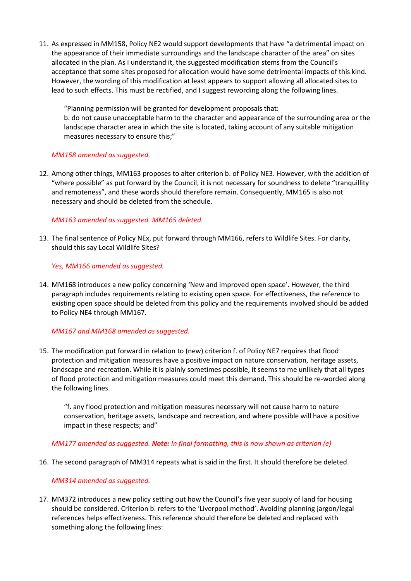11. As expressed in MM158, Policy NE2 would support developments that have "a detrimental impact on the appearance of their immediate surroundings and the landscape character of the area" on sites allocated in the plan. As I understand it, the suggested modification stems from the Council's acceptance that some sites proposed for allocation would have some detrimental impacts of this kind. However, the wording of this modification at least appears to support allowing all allocated sites to lead to such effects. This must be rectified, and I suggest rewording along the following lines.

"Planning permission will be granted for development proposals that: b. do not cause unacceptable harm to the character and appearance of the surrounding area or the landscape character area in which the site is located, taking account of any suitable mitigation measures necessary to ensure this;"

### *MM158 amended as suggested.*

12. Among other things, MM163 proposes to alter criterion b. of Policy NE3. However, with the addition of "where possible" as put forward by the Council, it is not necessary for soundness to delete "tranquillity and remoteness", and these words should therefore remain. Consequently, MM165 is also not necessary and should be deleted from the schedule.

### *MM163 amended as suggested. MM165 deleted.*

13. The final sentence of Policy NEx, put forward through MM166, refers to Wildlife Sites. For clarity, should this say Local Wildlife Sites?

### *Yes, MM166 amended as suggested.*

14. MM168 introduces a new policy concerning 'New and improved open space'. However, the third paragraph includes requirements relating to existing open space. For effectiveness, the reference to existing open space should be deleted from this policy and the requirements involved should be added to Policy NE4 through MM167.

#### *MM167 and MM168 amended as suggested.*

15. The modification put forward in relation to (new) criterion f. of Policy NE7 requires that flood protection and mitigation measures have a positive impact on nature conservation, heritage assets, landscape and recreation. While it is plainly sometimes possible, it seems to me unlikely that all types of flood protection and mitigation measures could meet this demand. This should be re-worded along the following lines.

"f. any flood protection and mitigation measures necessary will not cause harm to nature conservation, heritage assets, landscape and recreation, and where possible will have a positive impact in these respects; and"

## *MM177 amended as suggested. Note: In final formatting, this is now shown as criterion (e)*

16. The second paragraph of MM314 repeats what is said in the first. It should therefore be deleted.

## *MM314 amended as suggested.*

17. MM372 introduces a new policy setting out how the Council's five year supply of land for housing should be considered. Criterion b. refers to the 'Liverpool method'. Avoiding planning jargon/legal references helps effectiveness. This reference should therefore be deleted and replaced with something along the following lines: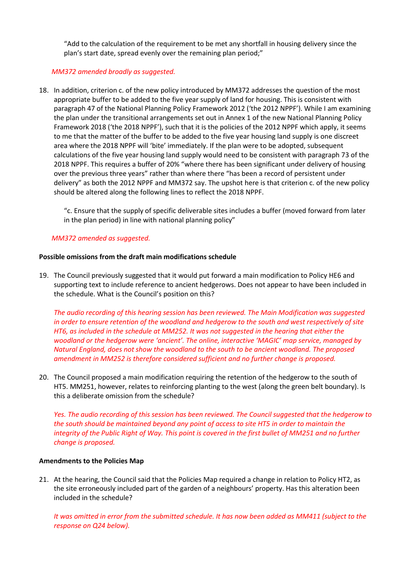"Add to the calculation of the requirement to be met any shortfall in housing delivery since the plan's start date, spread evenly over the remaining plan period;"

## *MM372 amended broadly as suggested.*

18. In addition, criterion c. of the new policy introduced by MM372 addresses the question of the most appropriate buffer to be added to the five year supply of land for housing. This is consistent with paragraph 47 of the National Planning Policy Framework 2012 ('the 2012 NPPF'). While I am examining the plan under the transitional arrangements set out in Annex 1 of the new National Planning Policy Framework 2018 ('the 2018 NPPF'), such that it is the policies of the 2012 NPPF which apply, it seems to me that the matter of the buffer to be added to the five year housing land supply is one discreet area where the 2018 NPPF will 'bite' immediately. If the plan were to be adopted, subsequent calculations of the five year housing land supply would need to be consistent with paragraph 73 of the 2018 NPPF. This requires a buffer of 20% "where there has been significant under delivery of housing over the previous three years" rather than where there "has been a record of persistent under delivery" as both the 2012 NPPF and MM372 say. The upshot here is that criterion c. of the new policy should be altered along the following lines to reflect the 2018 NPPF.

"c. Ensure that the supply of specific deliverable sites includes a buffer (moved forward from later in the plan period) in line with national planning policy"

### *MM372 amended as suggested.*

### **Possible omissions from the draft main modifications schedule**

19. The Council previously suggested that it would put forward a main modification to Policy HE6 and supporting text to include reference to ancient hedgerows. Does not appear to have been included in the schedule. What is the Council's position on this?

*The audio recording of this hearing session has been reviewed. The Main Modification was suggested in order to ensure retention of the woodland and hedgerow to the south and west respectively of site HT6, as included in the schedule at MM252. It was not suggested in the hearing that either the woodland or the hedgerow were 'ancient'. The online, interactive 'MAGIC' map service, managed by Natural England, does not show the woodland to the south to be ancient woodland. The proposed amendment in MM252 is therefore considered sufficient and no further change is proposed.*

20. The Council proposed a main modification requiring the retention of the hedgerow to the south of HT5. MM251, however, relates to reinforcing planting to the west (along the green belt boundary). Is this a deliberate omission from the schedule?

*Yes. The audio recording of this session has been reviewed. The Council suggested that the hedgerow to the south should be maintained beyond any point of access to site HT5 in order to maintain the integrity of the Public Right of Way. This point is covered in the first bullet of MM251 and no further change is proposed.*

#### **Amendments to the Policies Map**

21. At the hearing, the Council said that the Policies Map required a change in relation to Policy HT2, as the site erroneously included part of the garden of a neighbours' property. Has this alteration been included in the schedule?

*It was omitted in error from the submitted schedule. It has now been added as MM411 (subject to the response on Q24 below).*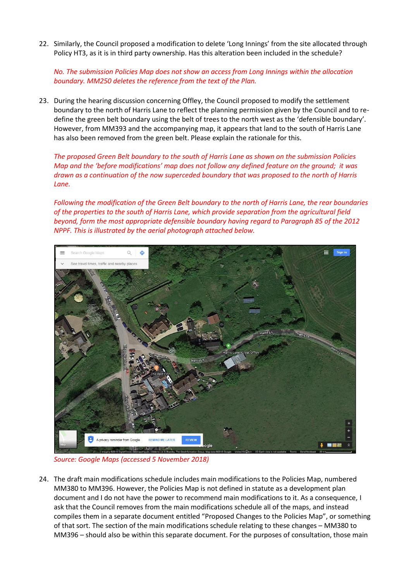22. Similarly, the Council proposed a modification to delete 'Long Innings' from the site allocated through Policy HT3, as it is in third party ownership. Has this alteration been included in the schedule?

*No. The submission Policies Map does not show an access from Long Innings within the allocation boundary. MM250 deletes the reference from the text of the Plan.*

23. During the hearing discussion concerning Offley, the Council proposed to modify the settlement boundary to the north of Harris Lane to reflect the planning permission given by the Council and to redefine the green belt boundary using the belt of trees to the north west as the 'defensible boundary'. However, from MM393 and the accompanying map, it appears that land to the south of Harris Lane has also been removed from the green belt. Please explain the rationale for this.

*The proposed Green Belt boundary to the south of Harris Lane as shown on the submission Policies Map and the 'before modifications' map does not follow any defined feature on the ground; it was drawn as a continuation of the now superceded boundary that was proposed to the north of Harris Lane.*

*Following the modification of the Green Belt boundary to the north of Harris Lane, the rear boundaries of the properties to the south of Harris Lane, which provide separation from the agricultural field beyond, form the most appropriate defensible boundary having regard to Paragraph 85 of the 2012 NPPF. This is illustrated by the aerial photograph attached below.*



*Source: Google Maps (accessed 5 November 2018)*

24. The draft main modifications schedule includes main modifications to the Policies Map, numbered MM380 to MM396. However, the Policies Map is not defined in statute as a development plan document and I do not have the power to recommend main modifications to it. As a consequence, I ask that the Council removes from the main modifications schedule all of the maps, and instead compiles them in a separate document entitled "Proposed Changes to the Policies Map", or something of that sort. The section of the main modifications schedule relating to these changes – MM380 to MM396 – should also be within this separate document. For the purposes of consultation, those main